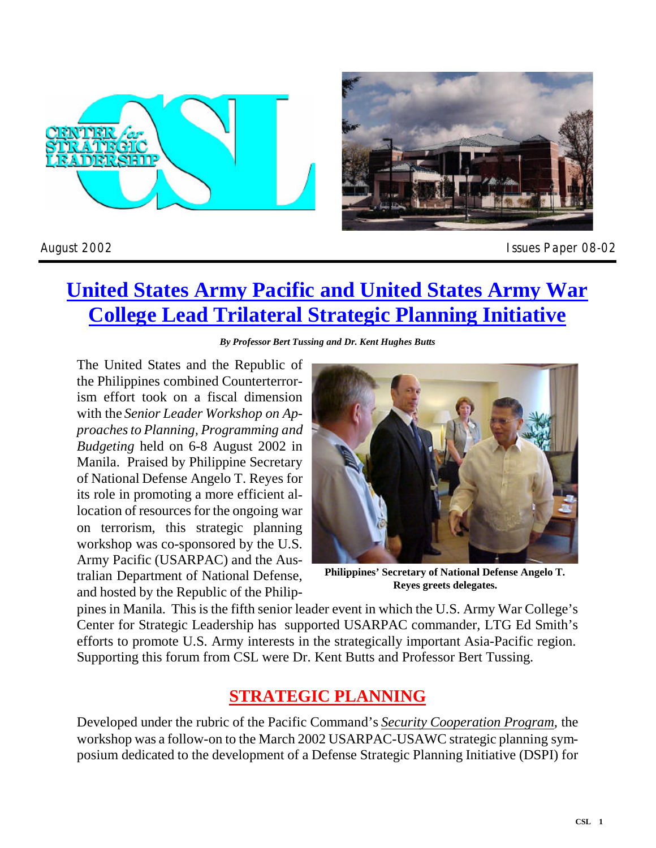



*August 2002 Issues Paper 08-02*

# **United States Army Pacific and United States Army War College Lead Trilateral Strategic Planning Initiative**

*By Professor Bert Tussing and Dr. Kent Hughes Butts*

The United States and the Republic of the Philippines combined Counterterrorism effort took on a fiscal dimension with the *Senior Leader Workshop on Approaches to Planning, Pro gramming and Budgeting* held on 6-8 August 2002 in Manila. Praised by Philippine Secretary of National Defense Angelo T. Reyes for its role in promoting a more efficient allocation of resources for the ongoing war on terrorism, this strategic planning workshop was co-sponsored by the U.S. Army Pacific (USARPAC) and the Australian Department of National Defense, and hosted by the Republic of the Philip-



**Philippines' Secretary of National Defense Angelo T. Reyes greets delegates.**

pines in Manila. This is the fifth senior leader event in which the U.S. Army War College's Center for Strategic Leadership has supported USARPAC commander, LTG Ed Smith's efforts to promote U.S. Army interests in the strategically important Asia-Pacific region. Supporting this forum from CSL were Dr. Kent Butts and Professor Bert Tussing.

### **STRATEGIC PLANNING**

Developed under the rubric of the Pacific Command's *Security Cooperation Program*, the workshop was a follow-on to the March 2002 USARPAC-USAWC strategic planning symposium dedicated to the development of a Defense Strategic Planning Initiative (DSPI) for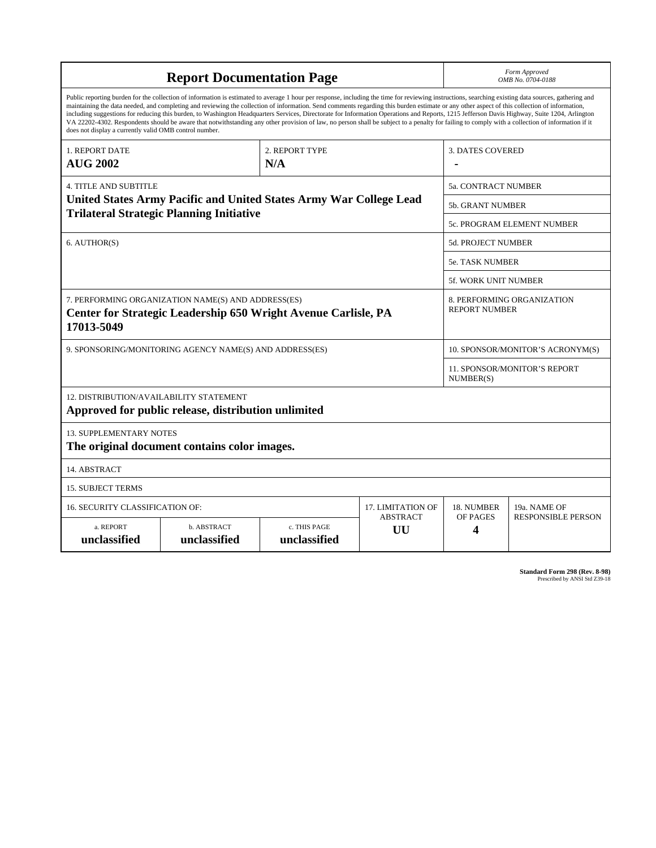| <b>Report Documentation Page</b>                                                                                                                                                                                                                                                                                                                                                                                                                                                                                                                                                                                                                                                                                                                                                                                                                                   |                             |                              |                         | Form Approved<br>OMB No. 0704-0188                 |                           |
|--------------------------------------------------------------------------------------------------------------------------------------------------------------------------------------------------------------------------------------------------------------------------------------------------------------------------------------------------------------------------------------------------------------------------------------------------------------------------------------------------------------------------------------------------------------------------------------------------------------------------------------------------------------------------------------------------------------------------------------------------------------------------------------------------------------------------------------------------------------------|-----------------------------|------------------------------|-------------------------|----------------------------------------------------|---------------------------|
| Public reporting burden for the collection of information is estimated to average 1 hour per response, including the time for reviewing instructions, searching existing data sources, gathering and<br>maintaining the data needed, and completing and reviewing the collection of information. Send comments regarding this burden estimate or any other aspect of this collection of information,<br>including suggestions for reducing this burden, to Washington Headquarters Services, Directorate for Information Operations and Reports, 1215 Jefferson Davis Highway, Suite 1204, Arlington<br>VA 22202-4302. Respondents should be aware that notwithstanding any other provision of law, no person shall be subject to a penalty for failing to comply with a collection of information if it<br>does not display a currently valid OMB control number. |                             |                              |                         |                                                    |                           |
| 1. REPORT DATE<br><b>AUG 2002</b>                                                                                                                                                                                                                                                                                                                                                                                                                                                                                                                                                                                                                                                                                                                                                                                                                                  | 2. REPORT TYPE<br>N/A       |                              | <b>3. DATES COVERED</b> |                                                    |                           |
| <b>4. TITLE AND SUBTITLE</b>                                                                                                                                                                                                                                                                                                                                                                                                                                                                                                                                                                                                                                                                                                                                                                                                                                       |                             |                              |                         | <b>5a. CONTRACT NUMBER</b>                         |                           |
| United States Army Pacific and United States Army War College Lead<br><b>Trilateral Strategic Planning Initiative</b>                                                                                                                                                                                                                                                                                                                                                                                                                                                                                                                                                                                                                                                                                                                                              |                             |                              |                         | <b>5b. GRANT NUMBER</b>                            |                           |
|                                                                                                                                                                                                                                                                                                                                                                                                                                                                                                                                                                                                                                                                                                                                                                                                                                                                    |                             |                              |                         | <b>5c. PROGRAM ELEMENT NUMBER</b>                  |                           |
| 6. AUTHOR(S)                                                                                                                                                                                                                                                                                                                                                                                                                                                                                                                                                                                                                                                                                                                                                                                                                                                       |                             |                              |                         | 5d. PROJECT NUMBER                                 |                           |
|                                                                                                                                                                                                                                                                                                                                                                                                                                                                                                                                                                                                                                                                                                                                                                                                                                                                    |                             |                              |                         | <b>5e. TASK NUMBER</b>                             |                           |
|                                                                                                                                                                                                                                                                                                                                                                                                                                                                                                                                                                                                                                                                                                                                                                                                                                                                    |                             |                              |                         | 5f. WORK UNIT NUMBER                               |                           |
| 7. PERFORMING ORGANIZATION NAME(S) AND ADDRESS(ES)<br>Center for Strategic Leadership 650 Wright Avenue Carlisle, PA<br>17013-5049                                                                                                                                                                                                                                                                                                                                                                                                                                                                                                                                                                                                                                                                                                                                 |                             |                              |                         | 8. PERFORMING ORGANIZATION<br><b>REPORT NUMBER</b> |                           |
| 9. SPONSORING/MONITORING AGENCY NAME(S) AND ADDRESS(ES)                                                                                                                                                                                                                                                                                                                                                                                                                                                                                                                                                                                                                                                                                                                                                                                                            |                             |                              |                         | 10. SPONSOR/MONITOR'S ACRONYM(S)                   |                           |
|                                                                                                                                                                                                                                                                                                                                                                                                                                                                                                                                                                                                                                                                                                                                                                                                                                                                    |                             |                              |                         | 11. SPONSOR/MONITOR'S REPORT<br>NUMBER(S)          |                           |
| 12. DISTRIBUTION/AVAILABILITY STATEMENT<br>Approved for public release, distribution unlimited                                                                                                                                                                                                                                                                                                                                                                                                                                                                                                                                                                                                                                                                                                                                                                     |                             |                              |                         |                                                    |                           |
| <b>13. SUPPLEMENTARY NOTES</b><br>The original document contains color images.                                                                                                                                                                                                                                                                                                                                                                                                                                                                                                                                                                                                                                                                                                                                                                                     |                             |                              |                         |                                                    |                           |
| 14. ABSTRACT                                                                                                                                                                                                                                                                                                                                                                                                                                                                                                                                                                                                                                                                                                                                                                                                                                                       |                             |                              |                         |                                                    |                           |
| <b>15. SUBJECT TERMS</b>                                                                                                                                                                                                                                                                                                                                                                                                                                                                                                                                                                                                                                                                                                                                                                                                                                           |                             |                              |                         |                                                    |                           |
| 16. SECURITY CLASSIFICATION OF:<br>17. LIMITATION OF                                                                                                                                                                                                                                                                                                                                                                                                                                                                                                                                                                                                                                                                                                                                                                                                               |                             |                              |                         | 18. NUMBER                                         | 19a. NAME OF              |
| a. REPORT<br>unclassified                                                                                                                                                                                                                                                                                                                                                                                                                                                                                                                                                                                                                                                                                                                                                                                                                                          | b. ABSTRACT<br>unclassified | c. THIS PAGE<br>unclassified | <b>ABSTRACT</b><br>UU   | OF PAGES<br>4                                      | <b>RESPONSIBLE PERSON</b> |

**Standard Form 298 (Rev. 8-98)**<br>Prescribed by ANSI Std Z39-18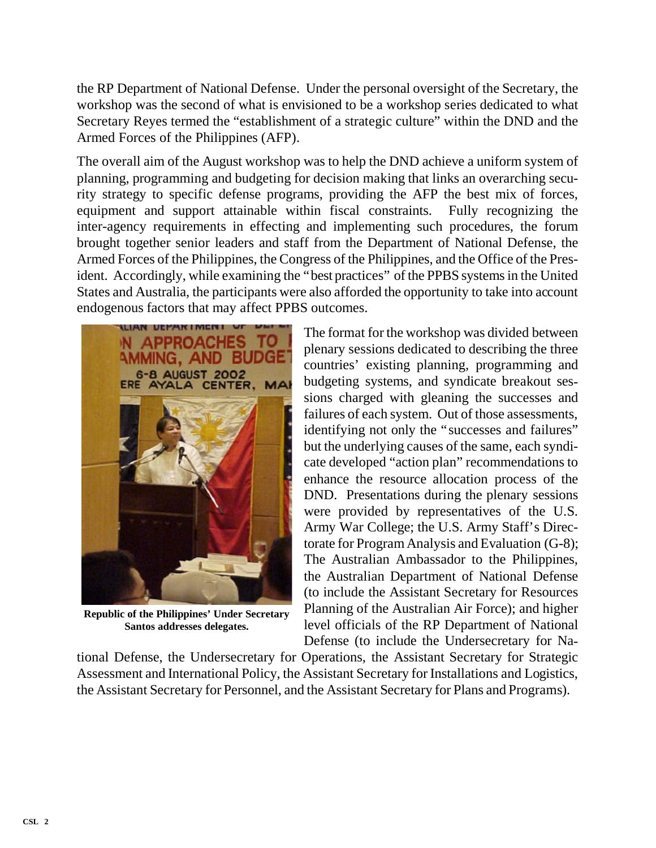the RP Department of National Defense. Under the personal over sight of the Secretary, the workshop was the second of what is envisioned to be a workshop series dedicated to what Secretary Reyes termed the "establishment of a strategic culture" within the DND and the Armed Forces of the Philippines (AFP).

The overall aim of the August workshop was to help the DND achieve a uniform system of planning, programming and budgeting for decision making that links an over arching security strategy to specific defense programs, providing the AFP the best mix of forces, equipment and support attainable within fiscal constraints. Fully recognizing the inter-agency requirements in effecting and implementing such procedures, the forum brought together senior leaders and staff from the Department of National Defense, the Armed Forces of the Philippines, the Congress of the Philippines, and the Office of the President. Accordingly, while examining the "best practices" of the PPBS systems in the United States and Australia, the participants were also afforded the opportunity to take into account endogenous factors that may affect PPBS outcomes.



**Republic of the Philippines' Under Secretary Santos addresses delegates.**

The format for the workshop was divided between plenary sessions dedicated to describing the three countries' existing planning, programming and budgeting systems, and syndicate breakout sessions charged with gleaning the successes and failures of each system. Out of those assessments, identifying not only the "successes and failures" but the underlying causes of the same, each syndicate developed "action plan" recommendations to enhance the resource allocation process of the DND. Presentations during the plenary sessions were provided by representatives of the U.S. Army War College; the U.S. Army Staff's Directorate for Program Analysis and Evaluation  $(G-8)$ ; The Australian Ambassador to the Philippines, the Australian Department of National Defense (to include the Assistant Secretary for Resources Planning of the Australian Air Force); and higher level officials of the RP Department of National Defense (to include the Undersecretary for Na-

tional Defense, the Undersecretary for Operations, the Assistant Secretary for Strategic Assessment and International Policy, the Assistant Secretary for Installations and Logistics, the Assistant Secretary for Personnel, and the Assistant Secretary for Plans and Programs).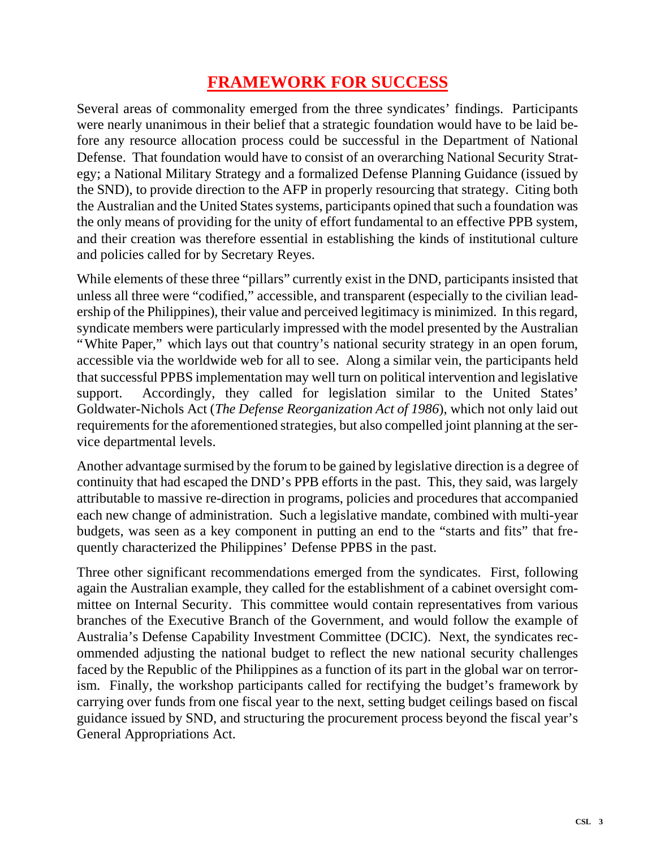### **FRAMEWORK FOR SUCCESS**

Several areas of commonality emerged from the three syndicates' findings. Participants were nearly unanimous in their belief that a strategic foundation would have to be laid before any resource allocation process could be successful in the Department of National Defense. That foundation would have to consist of an over arching National Security Strategy; a National Military Strategy and a formalized Defense Planning Guidance (issued by the SND), to provide direction to the AFP in properly resourcing that strategy. Citing both the Australian and the United States systems, participants opined that such a foundation was the only means of providing for the unity of effort fundamental to an effective PPB system, and their creation was therefore essential in establishing the kinds of institutional culture and policies called for by Secretary Reyes.

While elements of these three "pillars" currently exist in the DND, participants insisted that unless all three were "codified," accessible, and transparent (especially to the civilian leader ship of the Philippines), their value and perceived legitimacy is minimized. In this regard, syndicate members were particularly impressed with the model presented by the Australian "White Paper," which lays out that country's national security strategy in an open forum, acces sible via the worldwide web for all to see. Along a similar vein, the participants held that success ful PPBS implementation may well turn on political intervention and legislative support. Accordingly, they called for legislation similar to the United States' Goldwater-Nichols Act (*The Defense Reorganization Act of 1986*), which not only laid out requirements for the aforementioned strategies, but also compelled joint planning at the service departmental levels.

An other advantage surmised by the forum to be gained by legislative direction is a degree of continuity that had escaped the DND's PPB efforts in the past. This, they said, was largely attributable to massive re-direction in programs, policies and procedures that accompanied each new change of administration. Such a legislative mandate, combined with multi-year budgets, was seen as a key component in putting an end to the "starts and fits" that frequently characterized the Philippines' Defense PPBS in the past.

Three other significant recommendations emerged from the syndicates. First, following again the Australian example, they called for the establishment of a cabinet over sight committee on Internal Security. This committee would contain representatives from various branches of the Executive Branch of the Government, and would follow the example of Australia's Defense Capability Investment Committee (DCIC). Next, the syndicates recom mended adjusting the national budget to reflect the new national security challenges faced by the Republic of the Philippines as a function of its part in the global war on terrorism. Finally, the workshop participants called for rectifying the budget's framework by carrying over funds from one fiscal year to the next, setting budget ceilings based on fiscal guidance issued by SND, and structuring the procurement process beyond the fiscal year's General Appropriations Act.